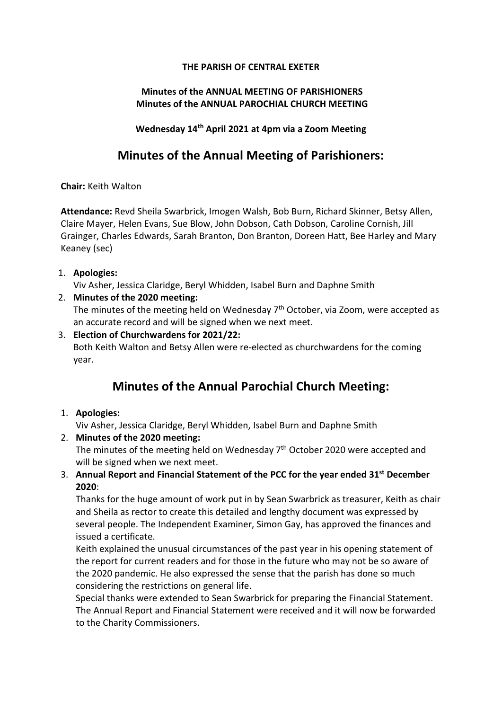#### THE PARISH OF CENTRAL EXETER

### Minutes of the ANNUAL MEETING OF PARISHIONERS Minutes of the ANNUAL PAROCHIAL CHURCH MEETING

Wednesday 14th April 2021 at 4pm via a Zoom Meeting

## Minutes of the Annual Meeting of Parishioners:

Chair: Keith Walton

Attendance: Revd Sheila Swarbrick, Imogen Walsh, Bob Burn, Richard Skinner, Betsy Allen, Claire Mayer, Helen Evans, Sue Blow, John Dobson, Cath Dobson, Caroline Cornish, Jill Grainger, Charles Edwards, Sarah Branton, Don Branton, Doreen Hatt, Bee Harley and Mary Keaney (sec)

1. Apologies:

Viv Asher, Jessica Claridge, Beryl Whidden, Isabel Burn and Daphne Smith

2. Minutes of the 2020 meeting:

The minutes of the meeting held on Wednesday  $7<sup>th</sup>$  October, via Zoom, were accepted as an accurate record and will be signed when we next meet.

3. Election of Churchwardens for 2021/22: Both Keith Walton and Betsy Allen were re-elected as churchwardens for the coming year.

# Minutes of the Annual Parochial Church Meeting:

1. Apologies:

Viv Asher, Jessica Claridge, Beryl Whidden, Isabel Burn and Daphne Smith

- 2. Minutes of the 2020 meeting: The minutes of the meeting held on Wednesday  $7<sup>th</sup>$  October 2020 were accepted and will be signed when we next meet.
- 3. Annual Report and Financial Statement of the PCC for the year ended 31<sup>st</sup> December 2020:

Thanks for the huge amount of work put in by Sean Swarbrick as treasurer, Keith as chair and Sheila as rector to create this detailed and lengthy document was expressed by several people. The Independent Examiner, Simon Gay, has approved the finances and issued a certificate.

Keith explained the unusual circumstances of the past year in his opening statement of the report for current readers and for those in the future who may not be so aware of the 2020 pandemic. He also expressed the sense that the parish has done so much considering the restrictions on general life.

Special thanks were extended to Sean Swarbrick for preparing the Financial Statement. The Annual Report and Financial Statement were received and it will now be forwarded to the Charity Commissioners.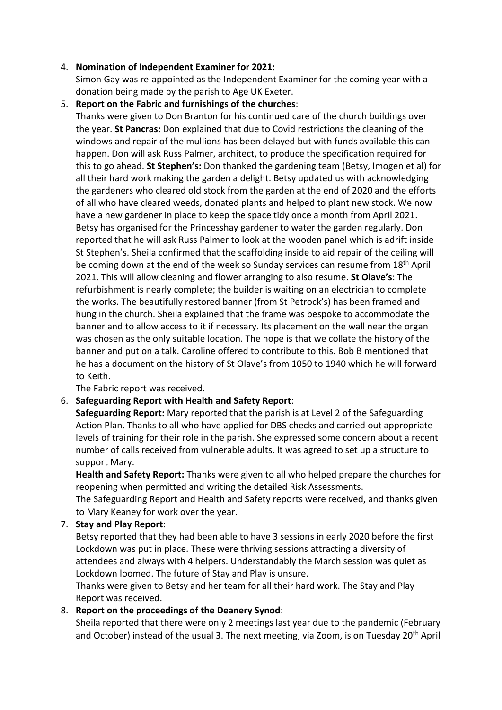#### 4. Nomination of Independent Examiner for 2021:

Simon Gay was re-appointed as the Independent Examiner for the coming year with a donation being made by the parish to Age UK Exeter.

#### 5. Report on the Fabric and furnishings of the churches:

Thanks were given to Don Branton for his continued care of the church buildings over the year. St Pancras: Don explained that due to Covid restrictions the cleaning of the windows and repair of the mullions has been delayed but with funds available this can happen. Don will ask Russ Palmer, architect, to produce the specification required for this to go ahead. St Stephen's: Don thanked the gardening team (Betsy, Imogen et al) for all their hard work making the garden a delight. Betsy updated us with acknowledging the gardeners who cleared old stock from the garden at the end of 2020 and the efforts of all who have cleared weeds, donated plants and helped to plant new stock. We now have a new gardener in place to keep the space tidy once a month from April 2021. Betsy has organised for the Princesshay gardener to water the garden regularly. Don reported that he will ask Russ Palmer to look at the wooden panel which is adrift inside St Stephen's. Sheila confirmed that the scaffolding inside to aid repair of the ceiling will be coming down at the end of the week so Sunday services can resume from  $18<sup>th</sup>$  April 2021. This will allow cleaning and flower arranging to also resume. St Olave's: The refurbishment is nearly complete; the builder is waiting on an electrician to complete the works. The beautifully restored banner (from St Petrock's) has been framed and hung in the church. Sheila explained that the frame was bespoke to accommodate the banner and to allow access to it if necessary. Its placement on the wall near the organ was chosen as the only suitable location. The hope is that we collate the history of the banner and put on a talk. Caroline offered to contribute to this. Bob B mentioned that he has a document on the history of St Olave's from 1050 to 1940 which he will forward to Keith.

The Fabric report was received.

#### 6. Safeguarding Report with Health and Safety Report:

Safeguarding Report: Mary reported that the parish is at Level 2 of the Safeguarding Action Plan. Thanks to all who have applied for DBS checks and carried out appropriate levels of training for their role in the parish. She expressed some concern about a recent number of calls received from vulnerable adults. It was agreed to set up a structure to support Mary.

Health and Safety Report: Thanks were given to all who helped prepare the churches for reopening when permitted and writing the detailed Risk Assessments.

The Safeguarding Report and Health and Safety reports were received, and thanks given to Mary Keaney for work over the year.

#### 7. Stay and Play Report:

Betsy reported that they had been able to have 3 sessions in early 2020 before the first Lockdown was put in place. These were thriving sessions attracting a diversity of attendees and always with 4 helpers. Understandably the March session was quiet as Lockdown loomed. The future of Stay and Play is unsure.

Thanks were given to Betsy and her team for all their hard work. The Stay and Play Report was received.

#### 8. Report on the proceedings of the Deanery Synod:

Sheila reported that there were only 2 meetings last year due to the pandemic (February and October) instead of the usual 3. The next meeting, via Zoom, is on Tuesday 20th April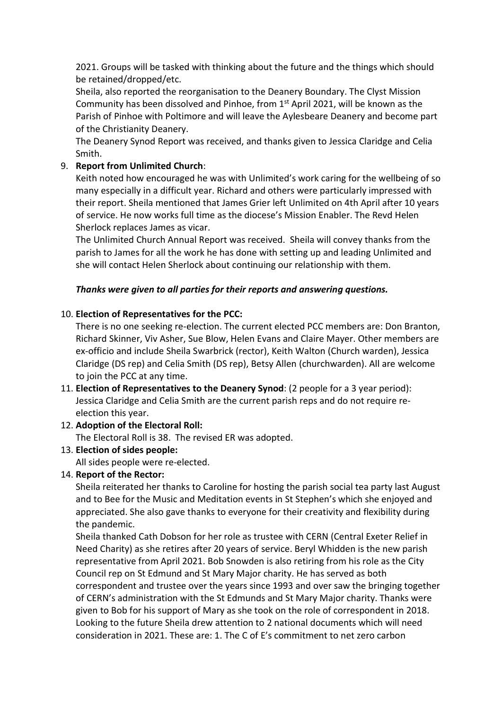2021. Groups will be tasked with thinking about the future and the things which should be retained/dropped/etc.

Sheila, also reported the reorganisation to the Deanery Boundary. The Clyst Mission Community has been dissolved and Pinhoe, from 1<sup>st</sup> April 2021, will be known as the Parish of Pinhoe with Poltimore and will leave the Aylesbeare Deanery and become part of the Christianity Deanery.

The Deanery Synod Report was received, and thanks given to Jessica Claridge and Celia Smith.

#### 9. Report from Unlimited Church:

Keith noted how encouraged he was with Unlimited's work caring for the wellbeing of so many especially in a difficult year. Richard and others were particularly impressed with their report. Sheila mentioned that James Grier left Unlimited on 4th April after 10 years of service. He now works full time as the diocese's Mission Enabler. The Revd Helen Sherlock replaces James as vicar.

The Unlimited Church Annual Report was received. Sheila will convey thanks from the parish to James for all the work he has done with setting up and leading Unlimited and she will contact Helen Sherlock about continuing our relationship with them.

#### Thanks were given to all parties for their reports and answering questions.

#### 10. Election of Representatives for the PCC:

There is no one seeking re-election. The current elected PCC members are: Don Branton, Richard Skinner, Viv Asher, Sue Blow, Helen Evans and Claire Mayer. Other members are ex-officio and include Sheila Swarbrick (rector), Keith Walton (Church warden), Jessica Claridge (DS rep) and Celia Smith (DS rep), Betsy Allen (churchwarden). All are welcome to join the PCC at any time.

- 11. Election of Representatives to the Deanery Synod: (2 people for a 3 year period): Jessica Claridge and Celia Smith are the current parish reps and do not require reelection this year.
- 12. Adoption of the Electoral Roll:

The Electoral Roll is 38. The revised ER was adopted.

13. Election of sides people:

All sides people were re-elected.

#### 14. Report of the Rector:

Sheila reiterated her thanks to Caroline for hosting the parish social tea party last August and to Bee for the Music and Meditation events in St Stephen's which she enjoyed and appreciated. She also gave thanks to everyone for their creativity and flexibility during the pandemic.

Sheila thanked Cath Dobson for her role as trustee with CERN (Central Exeter Relief in Need Charity) as she retires after 20 years of service. Beryl Whidden is the new parish representative from April 2021. Bob Snowden is also retiring from his role as the City Council rep on St Edmund and St Mary Major charity. He has served as both correspondent and trustee over the years since 1993 and over saw the bringing together of CERN's administration with the St Edmunds and St Mary Major charity. Thanks were given to Bob for his support of Mary as she took on the role of correspondent in 2018. Looking to the future Sheila drew attention to 2 national documents which will need consideration in 2021. These are: 1. The C of E's commitment to net zero carbon